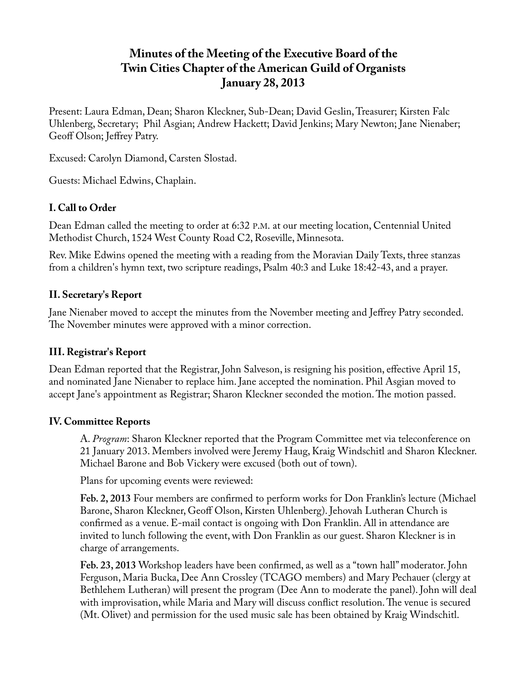# **Minutes of the Meeting of the Executive Board of the Twin Cities Chapter of the American Guild of Organists January 28, 2013**

Present: Laura Edman, Dean; Sharon Kleckner, Sub-Dean; David Geslin, Treasurer; Kirsten Falc Uhlenberg, Secretary; Phil Asgian; Andrew Hackett; David Jenkins; Mary Newton; Jane Nienaber; Geoff Olson; Jeffrey Patry.

Excused: Carolyn Diamond, Carsten Slostad.

Guests: Michael Edwins, Chaplain.

## **I. Call to Order**

Dean Edman called the meeting to order at 6:32 P.M. at our meeting location, Centennial United Methodist Church, 1524 West County Road C2, Roseville, Minnesota.

Rev. Mike Edwins opened the meeting with a reading from the Moravian Daily Texts, three stanzas from a children's hymn text, two scripture readings, Psalm 40:3 and Luke 18:42-43, and a prayer.

## **II. Secretary's Report**

Jane Nienaber moved to accept the minutes from the November meeting and Jeffrey Patry seconded. The November minutes were approved with a minor correction.

## **III. Registrar's Report**

Dean Edman reported that the Registrar, John Salveson, is resigning his position, effective April 15, and nominated Jane Nienaber to replace him. Jane accepted the nomination. Phil Asgian moved to accept Jane's appointment as Registrar; Sharon Kleckner seconded the motion. The motion passed.

## **IV. Committee Reports**

A. *Program*: Sharon Kleckner reported that the Program Committee met via teleconference on 21 January 2013. Members involved were Jeremy Haug, Kraig Windschitl and Sharon Kleckner. Michael Barone and Bob Vickery were excused (both out of town).

Plans for upcoming events were reviewed:

**Feb. 2, 2013** Four members are confirmed to perform works for Don Franklin's lecture (Michael Barone, Sharon Kleckner, Geoff Olson, Kirsten Uhlenberg). Jehovah Lutheran Church is confirmed as a venue. E-mail contact is ongoing with Don Franklin. All in attendance are invited to lunch following the event, with Don Franklin as our guest. Sharon Kleckner is in charge of arrangements.

**Feb. 23, 2013** Workshop leaders have been confirmed, as well as a "town hall" moderator. John Ferguson, Maria Bucka, Dee Ann Crossley (TCAGO members) and Mary Pechauer (clergy at Bethlehem Lutheran) will present the program (Dee Ann to moderate the panel). John will deal with improvisation, while Maria and Mary will discuss conflict resolution. The venue is secured (Mt. Olivet) and permission for the used music sale has been obtained by Kraig Windschitl.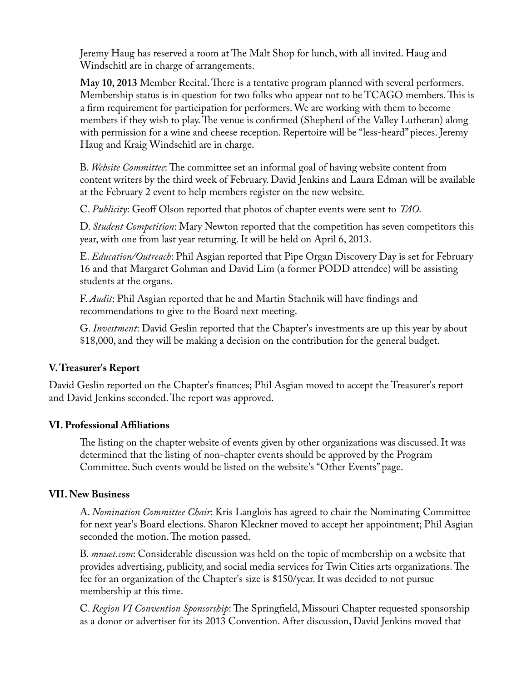Jeremy Haug has reserved a room at The Malt Shop for lunch, with all invited. Haug and Windschitl are in charge of arrangements.

**May 10, 2013** Member Recital. There is a tentative program planned with several performers. Membership status is in question for two folks who appear not to be TCAGO members. This is a firm requirement for participation for performers. We are working with them to become members if they wish to play. The venue is confirmed (Shepherd of the Valley Lutheran) along with permission for a wine and cheese reception. Repertoire will be "less-heard" pieces. Jeremy Haug and Kraig Windschitl are in charge.

B. *Website Committee*: The committee set an informal goal of having website content from content writers by the third week of February. David Jenkins and Laura Edman will be available at the February 2 event to help members register on the new website.

C. *Publicity*: Geoff Olson reported that photos of chapter events were sent to *TAO*.

D. *Student Competition*: Mary Newton reported that the competition has seven competitors this year, with one from last year returning. It will be held on April 6, 2013.

E. *Education/Outreach*: Phil Asgian reported that Pipe Organ Discovery Day is set for February 16 and that Margaret Gohman and David Lim (a former PODD attendee) will be assisting students at the organs.

F. *Audit*: Phil Asgian reported that he and Martin Stachnik will have findings and recommendations to give to the Board next meeting.

G. *Investment*: David Geslin reported that the Chapter's investments are up this year by about \$18,000, and they will be making a decision on the contribution for the general budget.

## **V. Treasurer's Report**

David Geslin reported on the Chapter's finances; Phil Asgian moved to accept the Treasurer's report and David Jenkins seconded. The report was approved.

#### **VI. Professional Affiliations**

The listing on the chapter website of events given by other organizations was discussed. It was determined that the listing of non-chapter events should be approved by the Program Committee. Such events would be listed on the website's "Other Events" page.

#### **VII. New Business**

A. *Nomination Committee Chair*: Kris Langlois has agreed to chair the Nominating Committee for next year's Board elections. Sharon Kleckner moved to accept her appointment; Phil Asgian seconded the motion. The motion passed.

B. *mnuet.com*: Considerable discussion was held on the topic of membership on a website that provides advertising, publicity, and social media services for Twin Cities arts organizations. The fee for an organization of the Chapter's size is \$150/year. It was decided to not pursue membership at this time.

C. *Region VI Convention Sponsorship*: The Springfield, Missouri Chapter requested sponsorship as a donor or advertiser for its 2013 Convention. After discussion, David Jenkins moved that